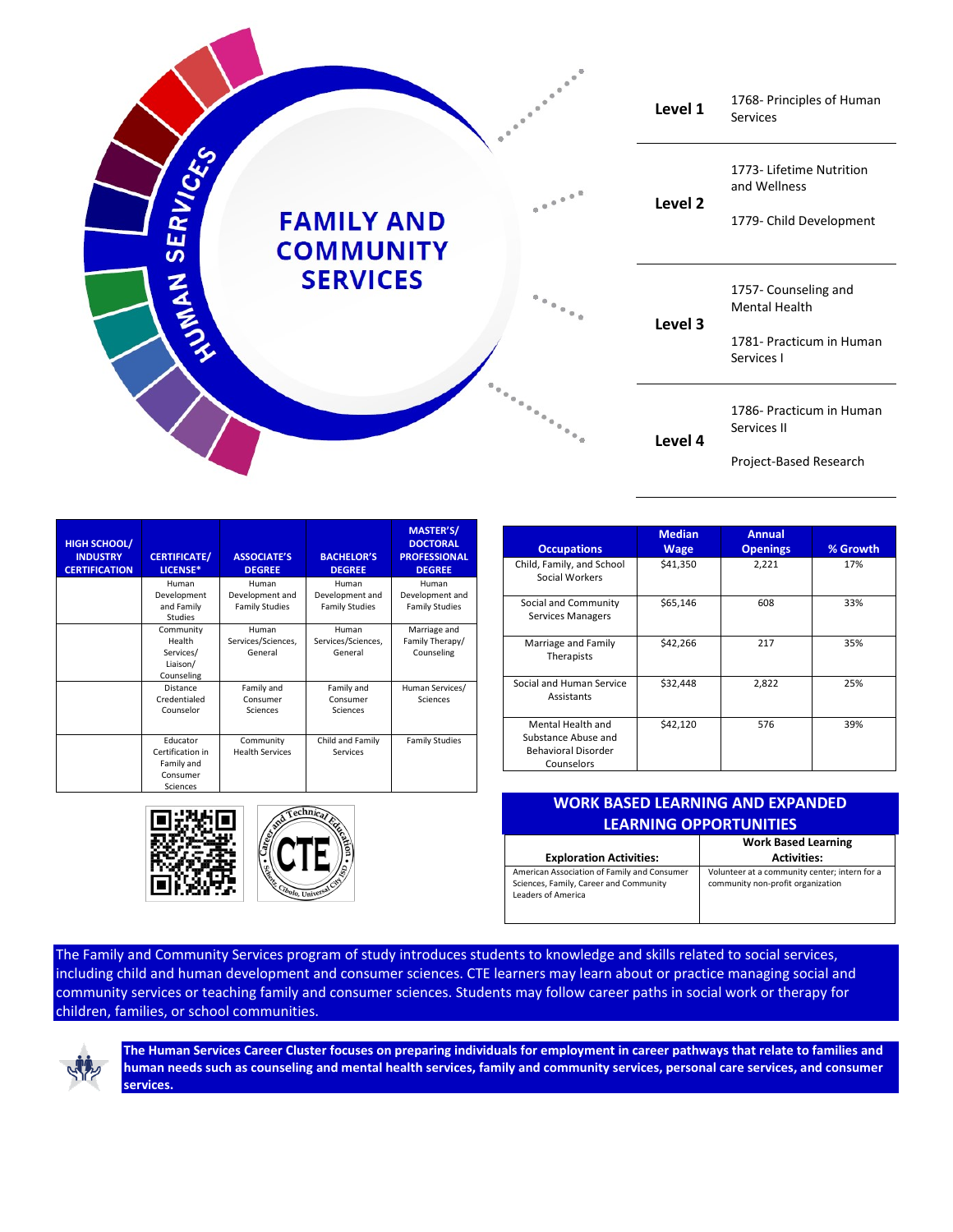

| <b>HIGH SCHOOL/</b><br><b>INDUSTRY</b><br><b>CERTIFICATION</b> | <b>CERTIFICATE/</b><br>LICENSE* | <b>ASSOCIATE'S</b><br><b>DEGREE</b> | <b>BACHELOR'S</b><br><b>DEGREE</b> | <b>MASTER'S/</b><br><b>DOCTORAL</b><br><b>PROFESSIONAL</b><br><b>DEGREE</b> |
|----------------------------------------------------------------|---------------------------------|-------------------------------------|------------------------------------|-----------------------------------------------------------------------------|
|                                                                | Human                           | Human                               | Human                              | Human                                                                       |
|                                                                | Development                     | Development and                     | Development and                    | Development and                                                             |
|                                                                | and Family<br>Studies           | <b>Family Studies</b>               | <b>Family Studies</b>              | <b>Family Studies</b>                                                       |
|                                                                | Community                       | Human                               | Human                              | Marriage and                                                                |
|                                                                | Health                          | Services/Sciences,                  | Services/Sciences,                 | Family Therapy/                                                             |
|                                                                | Services/                       | General                             | General                            | Counseling                                                                  |
|                                                                | Liaison/                        |                                     |                                    |                                                                             |
|                                                                | Counseling                      |                                     |                                    |                                                                             |
|                                                                | Distance                        | Family and                          | Family and                         | Human Services/                                                             |
|                                                                | Credentialed                    | Consumer                            | Consumer                           | Sciences                                                                    |
|                                                                | Counselor                       | Sciences                            | Sciences                           |                                                                             |
|                                                                |                                 |                                     |                                    |                                                                             |
|                                                                | Educator                        | Community                           | Child and Family                   | <b>Family Studies</b>                                                       |
|                                                                | Certification in                | <b>Health Services</b>              | Services                           |                                                                             |
|                                                                | Family and                      |                                     |                                    |                                                                             |
|                                                                | Consumer                        |                                     |                                    |                                                                             |
|                                                                | Sciences                        |                                     |                                    |                                                                             |





| <b>Occupations</b>                                                                   | <b>Median</b><br><b>Wage</b> | <b>Annual</b><br><b>Openings</b> | % Growth |
|--------------------------------------------------------------------------------------|------------------------------|----------------------------------|----------|
| Child, Family, and School<br>Social Workers                                          | \$41,350                     | 2,221                            | 17%      |
| Social and Community<br>Services Managers                                            | \$65,146                     | 608                              | 33%      |
| Marriage and Family<br>Therapists                                                    | \$42,266                     | 217                              | 35%      |
| Social and Human Service<br>Assistants                                               | \$32,448                     | 2,822                            | 25%      |
| Mental Health and<br>Substance Abuse and<br><b>Behavioral Disorder</b><br>Counselors | \$42,120                     | 576                              | 39%      |

| <b>WORK BASED LEARNING AND EXPANDED</b><br><b>LEARNING OPPORTUNITIES</b>                                    |                                                                                    |  |  |  |
|-------------------------------------------------------------------------------------------------------------|------------------------------------------------------------------------------------|--|--|--|
| <b>Exploration Activities:</b>                                                                              | <b>Work Based Learning</b><br><b>Activities:</b>                                   |  |  |  |
| American Association of Family and Consumer<br>Sciences, Family, Career and Community<br>Leaders of America | Volunteer at a community center; intern for a<br>community non-profit organization |  |  |  |

The Family and Community Services program of study introduces students to knowledge and skills related to social services, including child and human development and consumer sciences. CTE learners may learn about or practice managing social and community services or teaching family and consumer sciences. Students may follow career paths in social work or therapy for children, families, or school communities.



**The Human Services Career Cluster focuses on preparing individuals for employment in career pathways that relate to families and human needs such as counseling and mental health services, family and community services, personal care services, and consumer services.**